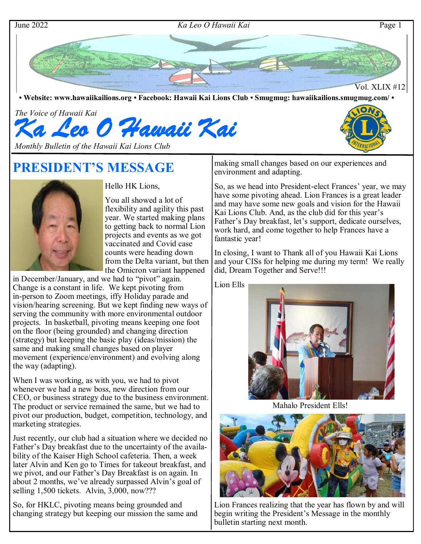

#### June 2022 *Ka Leo O Hawaii Kai* Page 1



**• Website: www.hawaiikailions.org • Facebook: Hawaii Kai Lions Club • Smugmug: hawaiikailions.smugmug.com/ •**

*The Voice of Hawaii Kai Ka Leo O Hawaii Kai* 

*Monthly Bulletin of the Hawaii Kai Lions Club* 

# **PRESIDENT'S MESSAGE**



Hello HK Lions,

You all showed a lot of flexibility and agility this past year. We started making plans to getting back to normal Lion projects and events as we got vaccinated and Covid case counts were heading down from the Delta variant, but then the Omicron variant happened

in December/January, and we had to "pivot" again. Change is a constant in life. We kept pivoting from in-person to Zoom meetings, iffy Holiday parade and vision/hearing screening. But we kept finding new ways of serving the community with more environmental outdoor projects. In basketball, pivoting means keeping one foot on the floor (being grounded) and changing direction (strategy) but keeping the basic play (ideas/mission) the same and making small changes based on player movement (experience/environment) and evolving along the way (adapting).

When I was working, as with you, we had to pivot whenever we had a new boss, new direction from our CEO, or business strategy due to the business environment. The product or service remained the same, but we had to pivot our production, budget, competition, technology, and marketing strategies.

Just recently, our club had a situation where we decided no Father's Day breakfast due to the uncertainty of the availability of the Kaiser High School cafeteria. Then, a week later Alvin and Ken go to Times for takeout breakfast, and we pivot, and our Father's Day Breakfast is on again. In about 2 months, we've already surpassed Alvin's goal of selling 1,500 tickets. Alvin, 3,000, now???

So, for HKLC, pivoting means being grounded and changing strategy but keeping our mission the same and making small changes based on our experiences and environment and adapting.

So, as we head into President-elect Frances' year, we may have some pivoting ahead. Lion Frances is a great leader and may have some new goals and vision for the Hawaii Kai Lions Club. And, as the club did for this year's Father's Day breakfast, let's support, dedicate ourselves, work hard, and come together to help Frances have a fantastic year!

In closing, I want to Thank all of you Hawaii Kai Lions and your CISs for helping me during my term! We really did, Dream Together and Serve!!!

Lion Ells



Mahalo President Ells!



Lion Frances realizing that the year has flown by and will begin writing the President's Message in the monthly bulletin starting next month.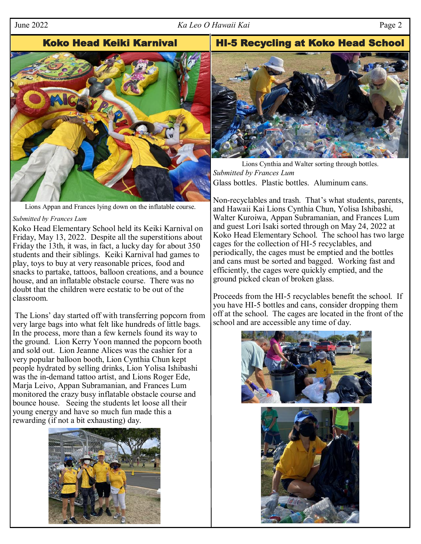## June 2022 *Ka Leo O Hawaii Kai* Page 2

# Koko Head Keiki Karnival | HI-5 Recycling at Koko Head School



Lions Appan and Frances lying down on the inflatable course.

#### *Submitted by Frances Lum*

Koko Head Elementary School held its Keiki Karnival on Friday, May 13, 2022. Despite all the superstitions about Friday the 13th, it was, in fact, a lucky day for about 350 students and their siblings. Keiki Karnival had games to play, toys to buy at very reasonable prices, food and snacks to partake, tattoos, balloon creations, and a bounce house, and an inflatable obstacle course. There was no doubt that the children were ecstatic to be out of the classroom.

The Lions' day started off with transferring popcorn from very large bags into what felt like hundreds of little bags. In the process, more than a few kernels found its way to the ground. Lion Kerry Yoon manned the popcorn booth and sold out. Lion Jeanne Alices was the cashier for a very popular balloon booth, Lion Cynthia Chun kept people hydrated by selling drinks, Lion Yolisa Ishibashi was the in-demand tattoo artist, and Lions Roger Ede, Marja Leivo, Appan Subramanian, and Frances Lum monitored the crazy busy inflatable obstacle course and bounce house. Seeing the students let loose all their young energy and have so much fun made this a rewarding (if not a bit exhausting) day.





Lions Cynthia and Walter sorting through bottles. *Submitted by Frances Lum*  Glass bottles. Plastic bottles. Aluminum cans.

Non-recyclables and trash. That's what students, parents, and Hawaii Kai Lions Cynthia Chun, Yolisa Ishibashi, Walter Kuroiwa, Appan Subramanian, and Frances Lum and guest Lori Isaki sorted through on May 24, 2022 at Koko Head Elementary School. The school has two large cages for the collection of HI-5 recyclables, and periodically, the cages must be emptied and the bottles and cans must be sorted and bagged. Working fast and efficiently, the cages were quickly emptied, and the ground picked clean of broken glass.

Proceeds from the HI-5 recyclables benefit the school. If you have HI-5 bottles and cans, consider dropping them off at the school. The cages are located in the front of the school and are accessible any time of day.

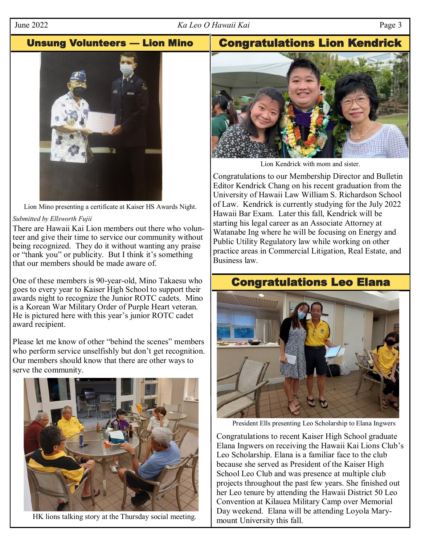## June 2022 *Ka Leo O Hawaii Kai* Page 3

Unsung Volunteers — Lion Mino | Congratulations Lion Kendrick



Lion Mino presenting a certificate at Kaiser HS Awards Night.

## *Submitted by Ellsworth Fujii*

There are Hawaii Kai Lion members out there who volunteer and give their time to service our community without being recognized. They do it without wanting any praise or "thank you" or publicity. But I think it's something that our members should be made aware of.

One of these members is 90-year-old, Mino Takaesu who goes to every year to Kaiser High School to support their awards night to recognize the Junior ROTC cadets. Mino is a Korean War Military Order of Purple Heart veteran. He is pictured here with this year's junior ROTC cadet award recipient.

Please let me know of other "behind the scenes" members who perform service unselfishly but don't get recognition. Our members should know that there are other ways to serve the community.



HK lions talking story at the Thursday social meeting.



Lion Kendrick with mom and sister.

Congratulations to our Membership Director and Bulletin Editor Kendrick Chang on his recent graduation from the University of Hawaii Law William S. Richardson School of Law. Kendrick is currently studying for the July 2022 Hawaii Bar Exam. Later this fall, Kendrick will be starting his legal career as an Associate Attorney at Watanabe Ing where he will be focusing on Energy and Public Utility Regulatory law while working on other practice areas in Commercial Litigation, Real Estate, and Business law.

# Congratulations Leo Elana



President Ells presenting Leo Scholarship to Elana Ingwers

Congratulations to recent Kaiser High School graduate Elana Ingwers on receiving the Hawaii Kai Lions Club's Leo Scholarship. Elana is a familiar face to the club because she served as President of the Kaiser High School Leo Club and was presence at multiple club projects throughout the past few years. She finished out her Leo tenure by attending the Hawaii District 50 Leo Convention at Kilauea Military Camp over Memorial Day weekend. Elana will be attending Loyola Marymount University this fall.